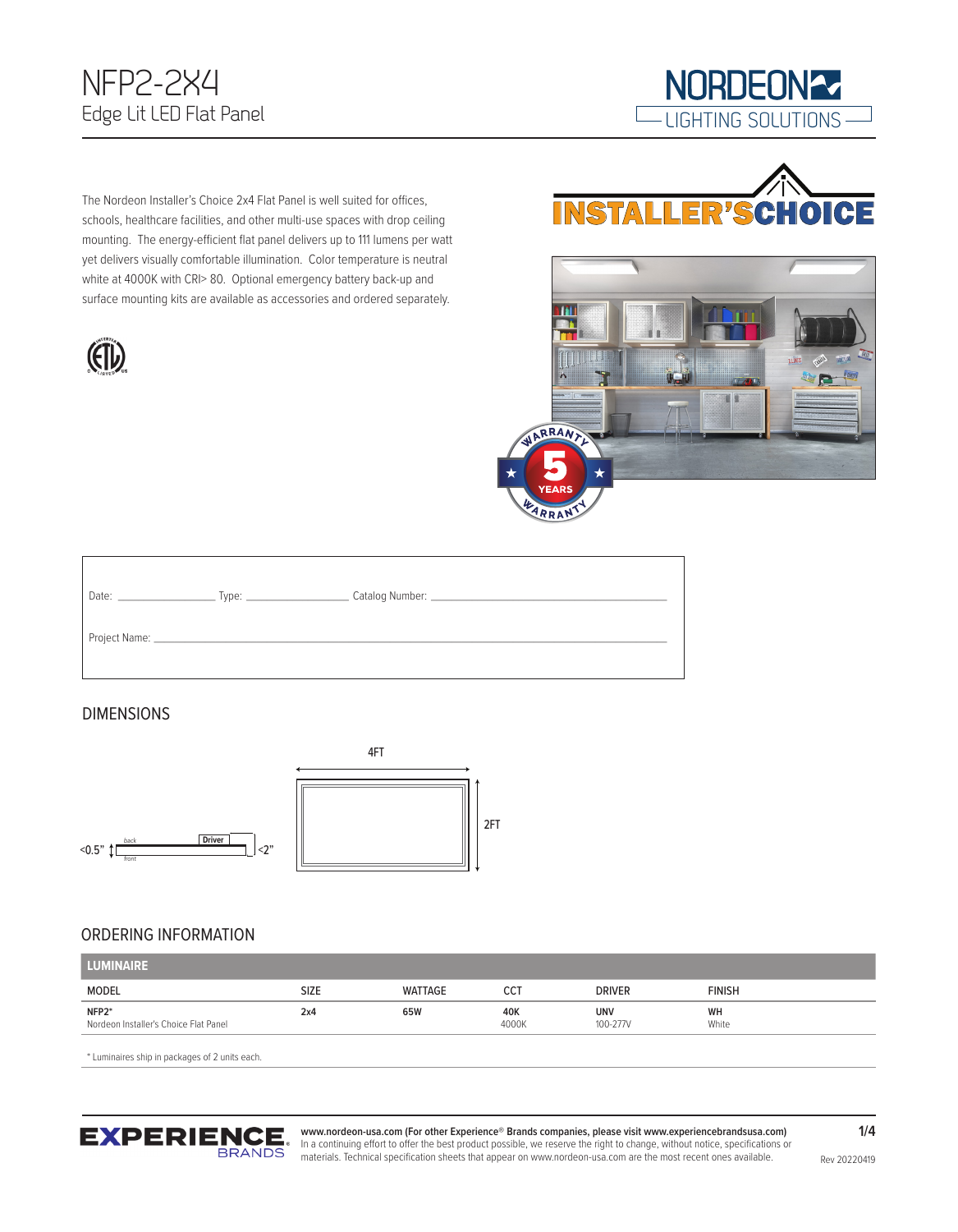## NFP2-2X4 Edge Lit LED Flat Panel



The Nordeon Installer's Choice 2x4 Flat Panel is well suited for offices, schools, healthcare facilities, and other multi-use spaces with drop ceiling mounting. The energy-efficient flat panel delivers up to 111 lumens per watt yet delivers visually comfortable illumination. Color temperature is neutral white at 4000K with CRI> 80. Optional emergency battery back-up and surface mounting kits are available as accessories and ordered separately.







| Date: | Type: $\frac{1}{\sqrt{1-\frac{1}{2}}\sqrt{1-\frac{1}{2}}\left(1-\frac{1}{2}\right)}$ |  |
|-------|--------------------------------------------------------------------------------------|--|
|       | Project Name: $\frac{1}{2}$                                                          |  |

#### DIMENSIONS



#### ORDERING INFORMATION

| <b>LUMINAIRE</b>                               |             |         |              |                        |               |
|------------------------------------------------|-------------|---------|--------------|------------------------|---------------|
| <b>MODEL</b>                                   | <b>SIZE</b> | WATTAGE | CC1          | <b>DRIVER</b>          | <b>FINISH</b> |
| NFP2*<br>Nordeon Installer's Choice Flat Panel | 2x4         | 65W     | 40K<br>4000K | <b>UNV</b><br>100-277V | WH<br>White   |

\* Luminaires ship in packages of 2 units each.

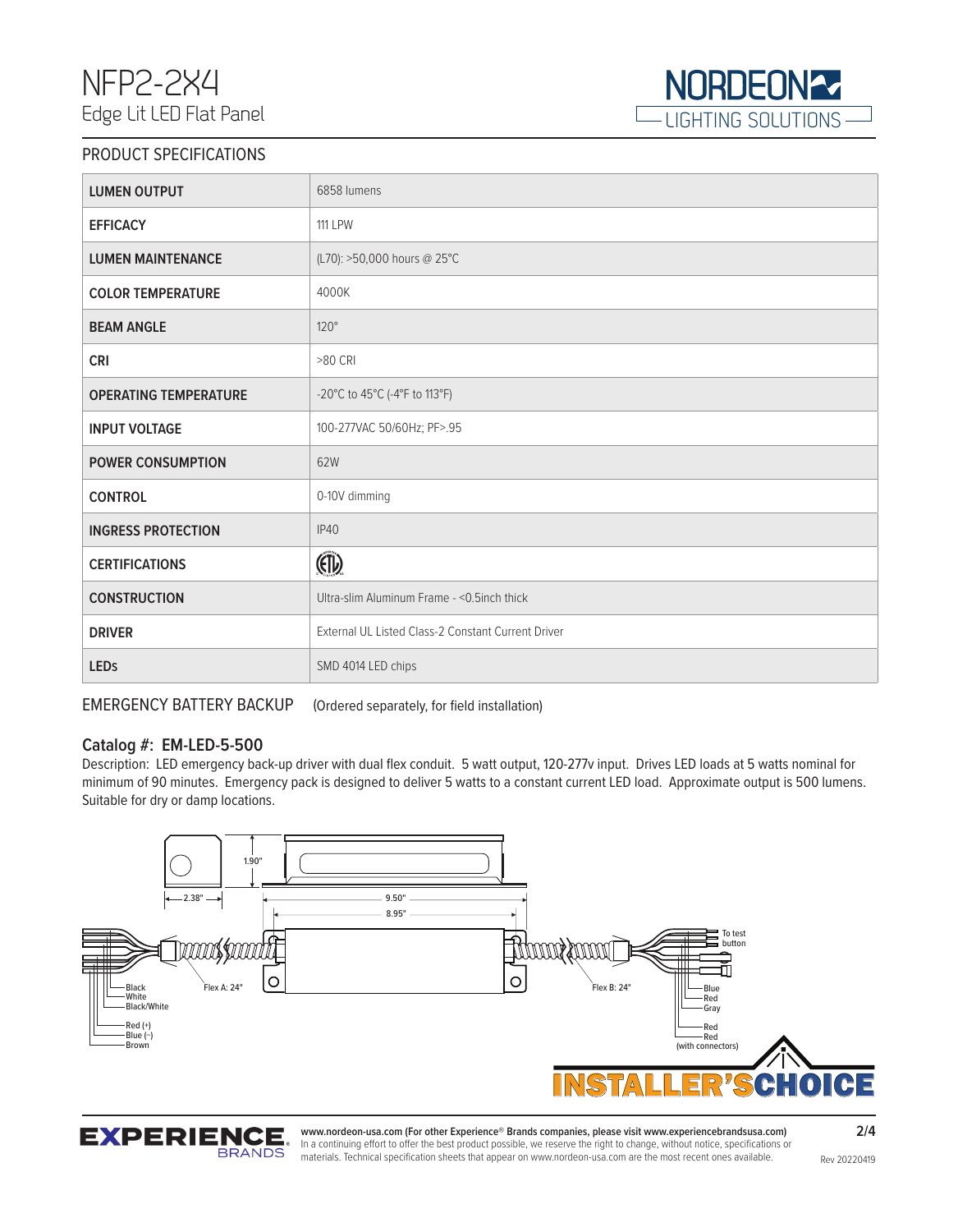

#### PRODUCT SPECIFICATIONS

| <b>LUMEN OUTPUT</b>          | 6858 lumens                                        |
|------------------------------|----------------------------------------------------|
| <b>EFFICACY</b>              | <b>111 LPW</b>                                     |
| <b>LUMEN MAINTENANCE</b>     | (L70): >50,000 hours @ 25°C                        |
| <b>COLOR TEMPERATURE</b>     | 4000K                                              |
| <b>BEAM ANGLE</b>            | $120^\circ$                                        |
| <b>CRI</b>                   | >80 CRI                                            |
| <b>OPERATING TEMPERATURE</b> | -20°C to 45°C (-4°F to 113°F)                      |
| <b>INPUT VOLTAGE</b>         | 100-277VAC 50/60Hz; PF>.95                         |
| <b>POWER CONSUMPTION</b>     | 62W                                                |
| <b>CONTROL</b>               | 0-10V dimming                                      |
| <b>INGRESS PROTECTION</b>    | <b>IP40</b>                                        |
| <b>CERTIFICATIONS</b>        | $\mathbb{F}$                                       |
| <b>CONSTRUCTION</b>          | Ultra-slim Aluminum Frame - < 0.5inch thick        |
| <b>DRIVER</b>                | External UL Listed Class-2 Constant Current Driver |
| <b>LEDs</b>                  | SMD 4014 LED chips                                 |

EMERGENCY BATTERY BACKUP (Ordered separately, for field installation)

#### **Catalog #: EM-LED-5-500**

Description: LED emergency back-up driver with dual flex conduit. 5 watt output, 120-277v input. Drives LED loads at 5 watts nominal for minimum of 90 minutes. Emergency pack is designed to deliver 5 watts to a constant current LED load. Approximate output is 500 lumens. Suitable for dry or damp locations.



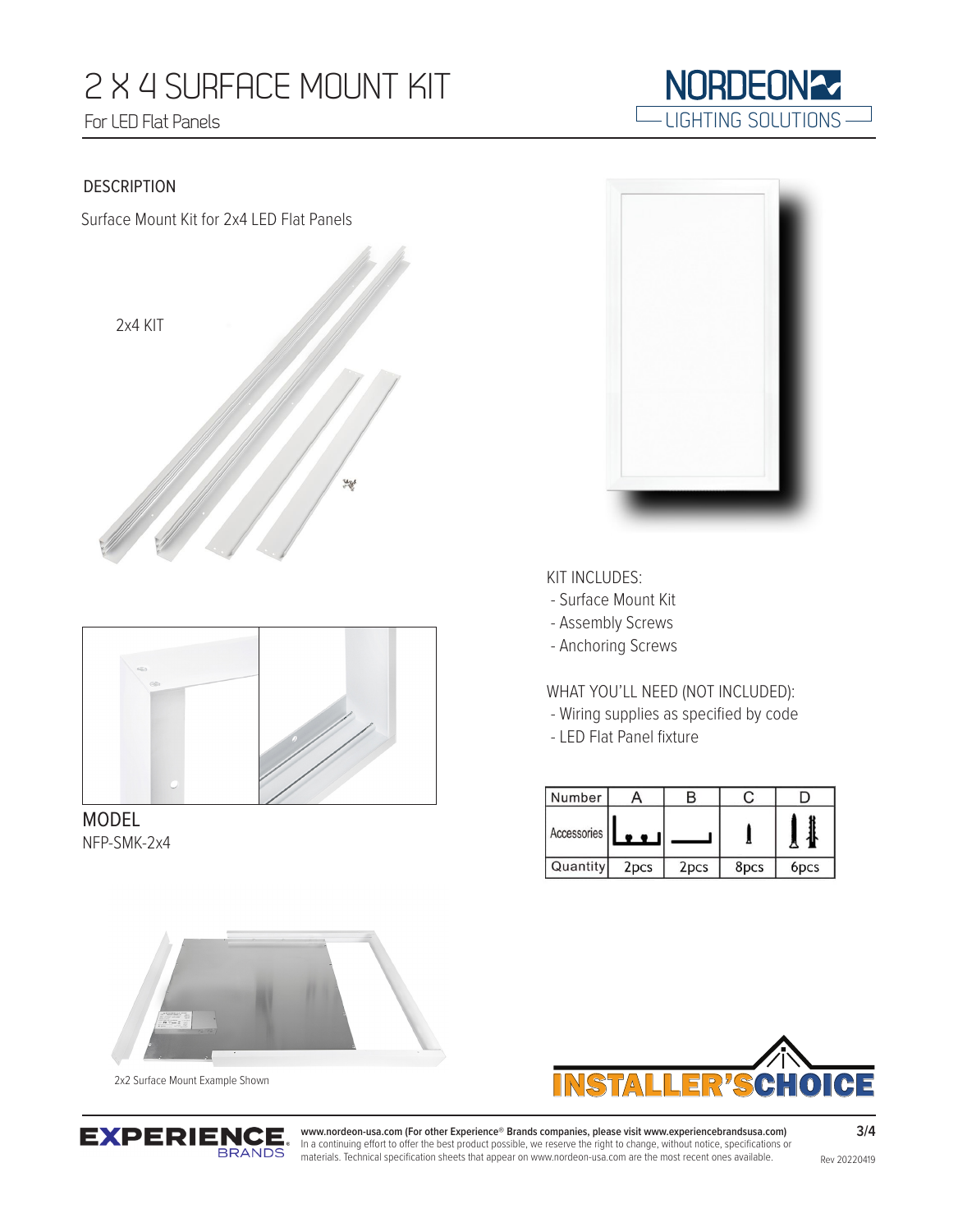# 2 X 4 SURFACE MOUNT KIT For LED Flat Panels



Surface Mount Kit for 2x4 LED Flat Panels





MODEL NFP-SMK-2x4



LIGHTING SOLUTIONS

**NORDEON27** 

KIT INCLUDES:

- Surface Mount Kit

- Assembly Screws
- Anchoring Screws

WHAT YOU'LL NEED (NOT INCLUDED):

- Wiring supplies as specified by code
- LED Flat Panel fixture

| Number      |                  |                  |      |                  |
|-------------|------------------|------------------|------|------------------|
| Accessories |                  |                  |      |                  |
| Quantity    | 2 <sub>pcs</sub> | 2 <sub>pcs</sub> | 8pcs | 6 <sub>pcs</sub> |

INSTALLER'SCHOICE